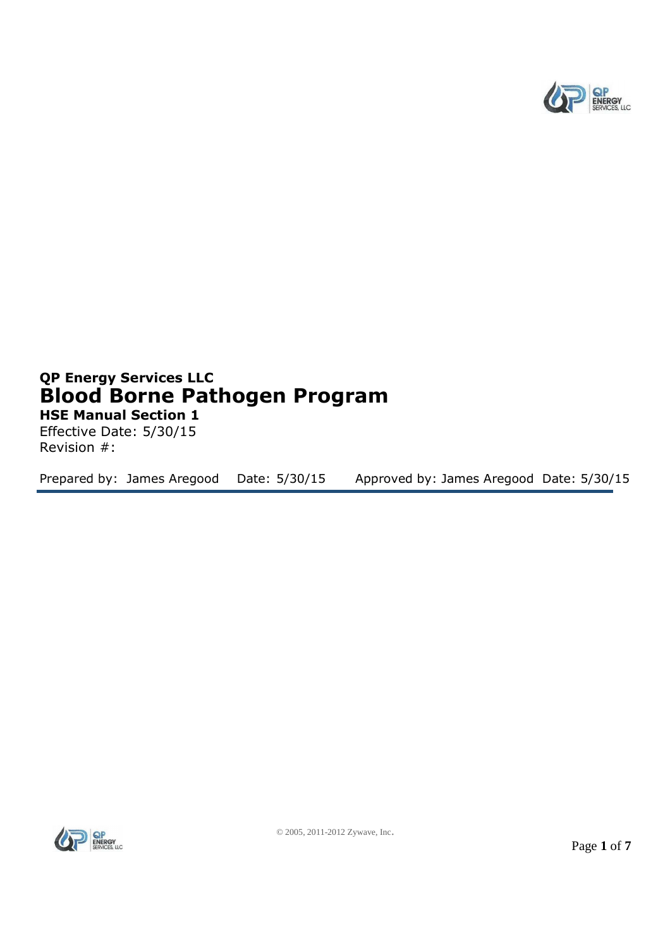

# **QP Energy Services LLC Blood Borne Pathogen Program HSE Manual Section 1**

Effective Date: 5/30/15 Revision #:

Prepared by: James Aregood Date: 5/30/15 Approved by: James Aregood Date: 5/30/15

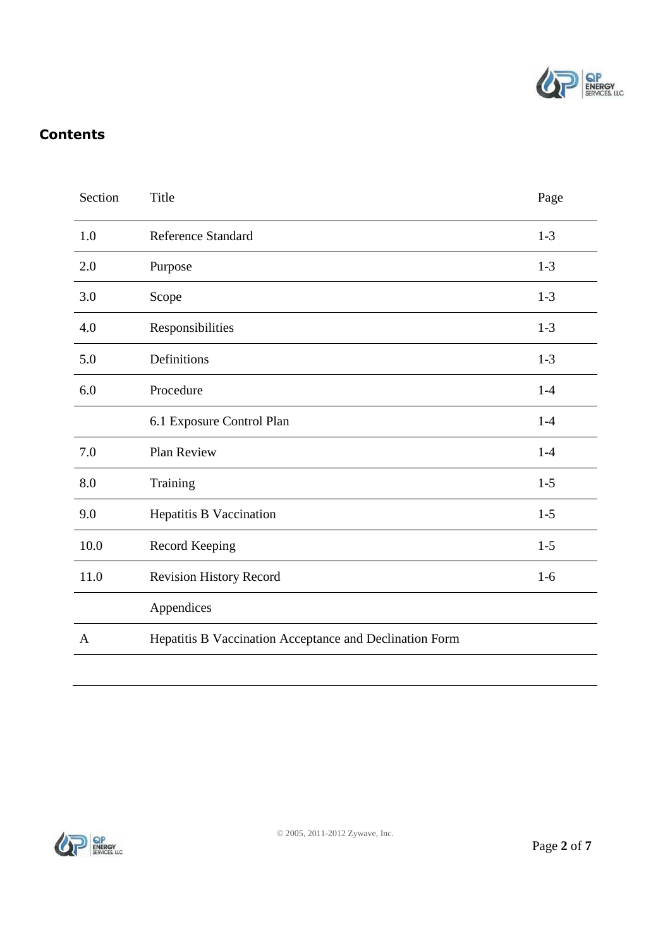

# **Contents**

| Section | Title                                                   | Page    |
|---------|---------------------------------------------------------|---------|
| 1.0     | <b>Reference Standard</b>                               | $1-3$   |
| 2.0     | Purpose                                                 | $1-3$   |
| 3.0     | Scope                                                   | $1-3$   |
| 4.0     | Responsibilities                                        | $1 - 3$ |
| 5.0     | Definitions                                             | $1-3$   |
| 6.0     | Procedure                                               | $1 - 4$ |
|         | 6.1 Exposure Control Plan                               | $1-4$   |
| 7.0     | Plan Review                                             | $1 - 4$ |
| 8.0     | Training                                                | $1-5$   |
| 9.0     | Hepatitis B Vaccination                                 | $1 - 5$ |
| 10.0    | Record Keeping                                          | $1-5$   |
| 11.0    | <b>Revision History Record</b>                          | $1-6$   |
|         | Appendices                                              |         |
| A       | Hepatitis B Vaccination Acceptance and Declination Form |         |
|         |                                                         |         |

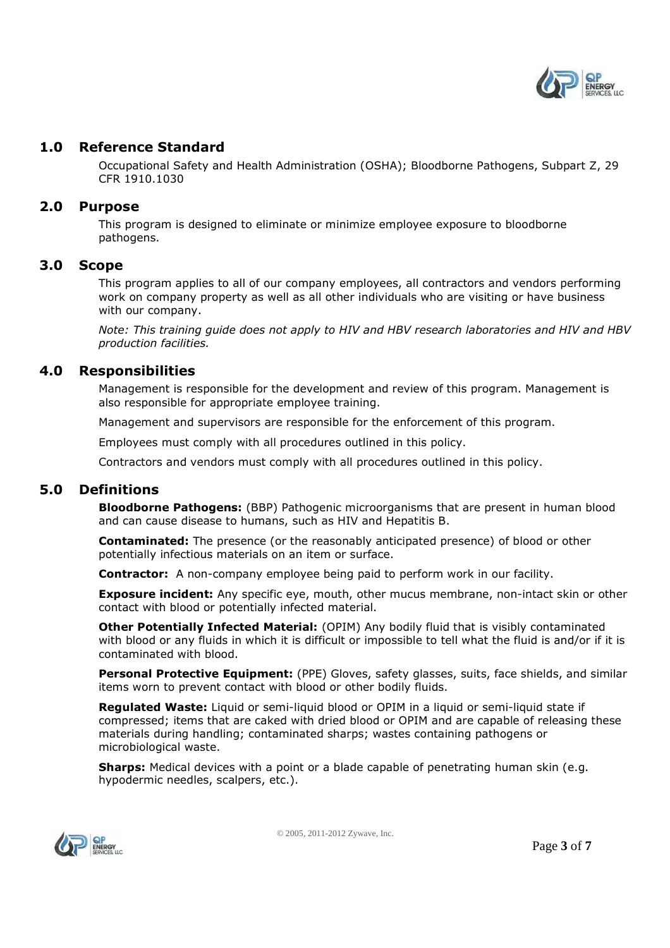

# **1.0 Reference Standard**

Occupational Safety and Health Administration (OSHA); Bloodborne Pathogens, Subpart Z, 29 CFR 1910.1030

## **2.0 Purpose**

This program is designed to eliminate or minimize employee exposure to bloodborne pathogens.

## **3.0 Scope**

This program applies to all of our company employees, all contractors and vendors performing work on company property as well as all other individuals who are visiting or have business with our company.

*Note: This training guide does not apply to HIV and HBV research laboratories and HIV and HBV production facilities.* 

## **4.0 Responsibilities**

Management is responsible for the development and review of this program. Management is also responsible for appropriate employee training.

Management and supervisors are responsible for the enforcement of this program.

Employees must comply with all procedures outlined in this policy.

Contractors and vendors must comply with all procedures outlined in this policy.

## **5.0 Definitions**

**Bloodborne Pathogens:** (BBP) Pathogenic microorganisms that are present in human blood and can cause disease to humans, such as HIV and Hepatitis B.

**Contaminated:** The presence (or the reasonably anticipated presence) of blood or other potentially infectious materials on an item or surface.

**Contractor:** A non-company employee being paid to perform work in our facility.

**Exposure incident:** Any specific eye, mouth, other mucus membrane, non-intact skin or other contact with blood or potentially infected material.

**Other Potentially Infected Material:** (OPIM) Any bodily fluid that is visibly contaminated with blood or any fluids in which it is difficult or impossible to tell what the fluid is and/or if it is contaminated with blood.

Personal Protective Equipment: (PPE) Gloves, safety glasses, suits, face shields, and similar items worn to prevent contact with blood or other bodily fluids.

**Regulated Waste:** Liquid or semi-liquid blood or OPIM in a liquid or semi-liquid state if compressed; items that are caked with dried blood or OPIM and are capable of releasing these materials during handling; contaminated sharps; wastes containing pathogens or microbiological waste.

**Sharps:** Medical devices with a point or a blade capable of penetrating human skin (e.g. hypodermic needles, scalpers, etc.).



© 2005, 2011-2012 Zywave, Inc.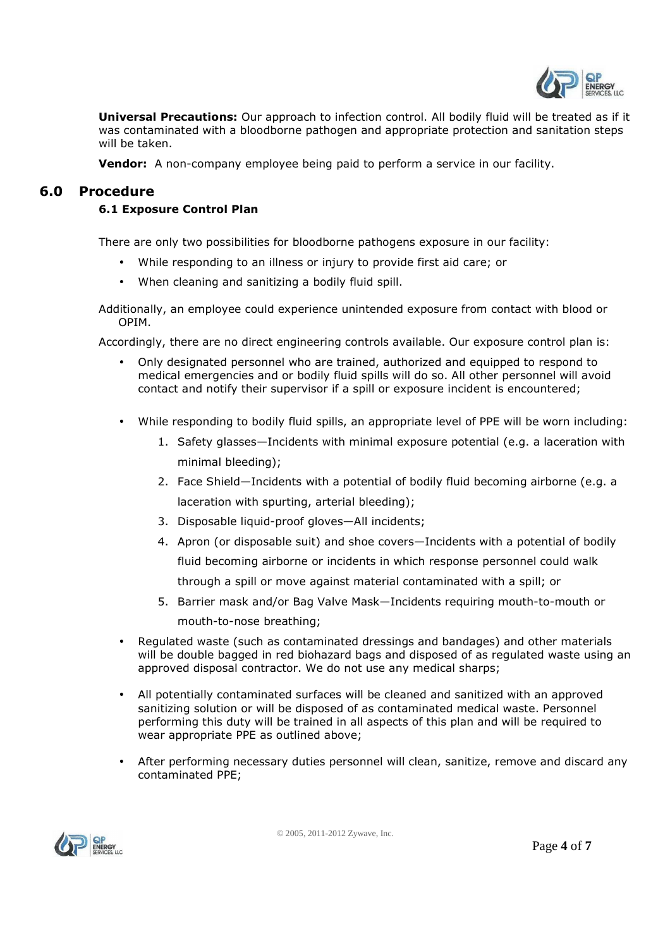

**Universal Precautions:** Our approach to infection control. All bodily fluid will be treated as if it was contaminated with a bloodborne pathogen and appropriate protection and sanitation steps will be taken.

**Vendor:** A non-company employee being paid to perform a service in our facility.

# **6.0 Procedure**

# **6.1 Exposure Control Plan**

There are only two possibilities for bloodborne pathogens exposure in our facility:

- While responding to an illness or injury to provide first aid care; or
- When cleaning and sanitizing a bodily fluid spill.

Additionally, an employee could experience unintended exposure from contact with blood or OPIM.

Accordingly, there are no direct engineering controls available. Our exposure control plan is:

- Only designated personnel who are trained, authorized and equipped to respond to medical emergencies and or bodily fluid spills will do so. All other personnel will avoid contact and notify their supervisor if a spill or exposure incident is encountered;
- While responding to bodily fluid spills, an appropriate level of PPE will be worn including:
	- 1. Safety glasses—Incidents with minimal exposure potential (e.g. a laceration with minimal bleeding);
	- 2. Face Shield—Incidents with a potential of bodily fluid becoming airborne (e.g. a laceration with spurting, arterial bleeding);
	- 3. Disposable liquid-proof gloves—All incidents;
	- 4. Apron (or disposable suit) and shoe covers—Incidents with a potential of bodily fluid becoming airborne or incidents in which response personnel could walk through a spill or move against material contaminated with a spill; or
	- 5. Barrier mask and/or Bag Valve Mask—Incidents requiring mouth-to-mouth or mouth-to-nose breathing;
- Regulated waste (such as contaminated dressings and bandages) and other materials will be double bagged in red biohazard bags and disposed of as regulated waste using an approved disposal contractor. We do not use any medical sharps;
- All potentially contaminated surfaces will be cleaned and sanitized with an approved sanitizing solution or will be disposed of as contaminated medical waste. Personnel performing this duty will be trained in all aspects of this plan and will be required to wear appropriate PPE as outlined above;
- After performing necessary duties personnel will clean, sanitize, remove and discard any contaminated PPE;

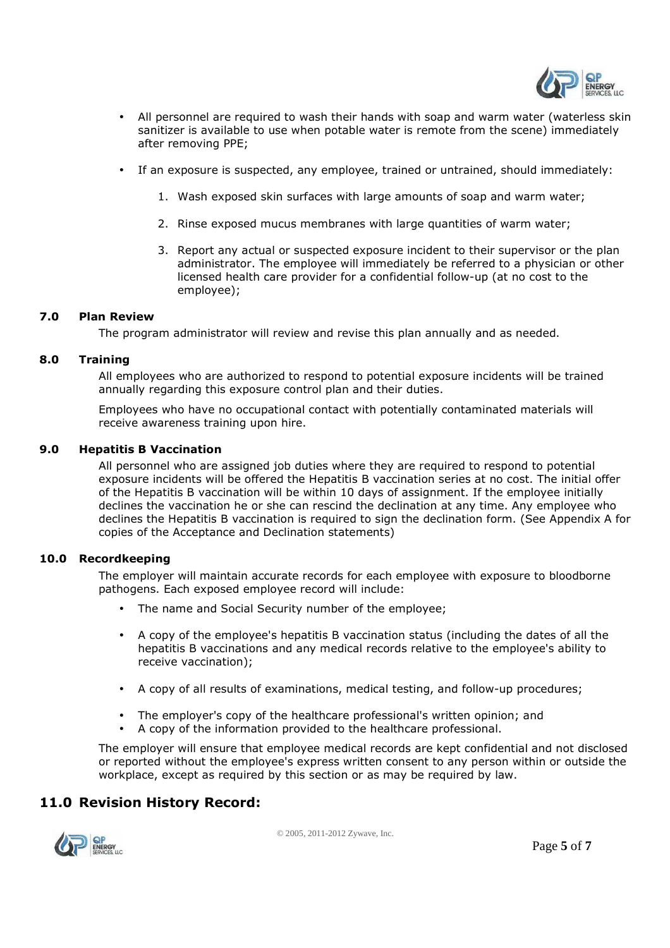

- All personnel are required to wash their hands with soap and warm water (waterless skin sanitizer is available to use when potable water is remote from the scene) immediately after removing PPE;
- If an exposure is suspected, any employee, trained or untrained, should immediately:
	- 1. Wash exposed skin surfaces with large amounts of soap and warm water;
	- 2. Rinse exposed mucus membranes with large quantities of warm water;
	- 3. Report any actual or suspected exposure incident to their supervisor or the plan administrator. The employee will immediately be referred to a physician or other licensed health care provider for a confidential follow-up (at no cost to the employee);

#### **7.0 Plan Review**

The program administrator will review and revise this plan annually and as needed.

#### **8.0 Training**

All employees who are authorized to respond to potential exposure incidents will be trained annually regarding this exposure control plan and their duties.

Employees who have no occupational contact with potentially contaminated materials will receive awareness training upon hire.

#### **9.0 Hepatitis B Vaccination**

All personnel who are assigned job duties where they are required to respond to potential exposure incidents will be offered the Hepatitis B vaccination series at no cost. The initial offer of the Hepatitis B vaccination will be within 10 days of assignment. If the employee initially declines the vaccination he or she can rescind the declination at any time. Any employee who declines the Hepatitis B vaccination is required to sign the declination form. (See Appendix A for copies of the Acceptance and Declination statements)

#### **10.0 Recordkeeping**

The employer will maintain accurate records for each employee with exposure to bloodborne pathogens. Each exposed employee record will include:

- The name and Social Security number of the employee;
- A copy of the employee's hepatitis B vaccination status (including the dates of all the hepatitis B vaccinations and any medical records relative to the employee's ability to receive vaccination);
- A copy of all results of examinations, medical testing, and follow-up procedures;
- The employer's copy of the healthcare professional's written opinion; and
- A copy of the information provided to the healthcare professional.

The employer will ensure that employee medical records are kept confidential and not disclosed or reported without the employee's express written consent to any person within or outside the workplace, except as required by this section or as may be required by law.

# **11.0 Revision History Record:**

© 2005, 2011-2012 Zywave, Inc.

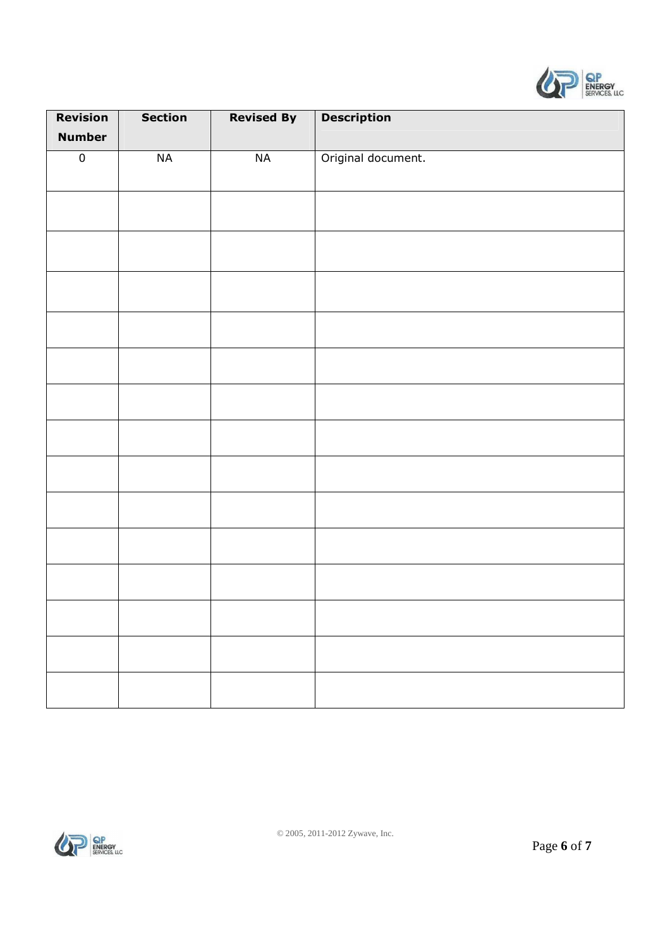

| <b>Revision</b> | <b>Section</b> | <b>Revised By</b> | <b>Description</b> |
|-----------------|----------------|-------------------|--------------------|
| <b>Number</b>   |                |                   |                    |
| $\overline{0}$  | NA             | NA                | Original document. |
|                 |                |                   |                    |
|                 |                |                   |                    |
|                 |                |                   |                    |
|                 |                |                   |                    |
|                 |                |                   |                    |
|                 |                |                   |                    |
|                 |                |                   |                    |
|                 |                |                   |                    |
|                 |                |                   |                    |
|                 |                |                   |                    |
|                 |                |                   |                    |
|                 |                |                   |                    |
|                 |                |                   |                    |
|                 |                |                   |                    |